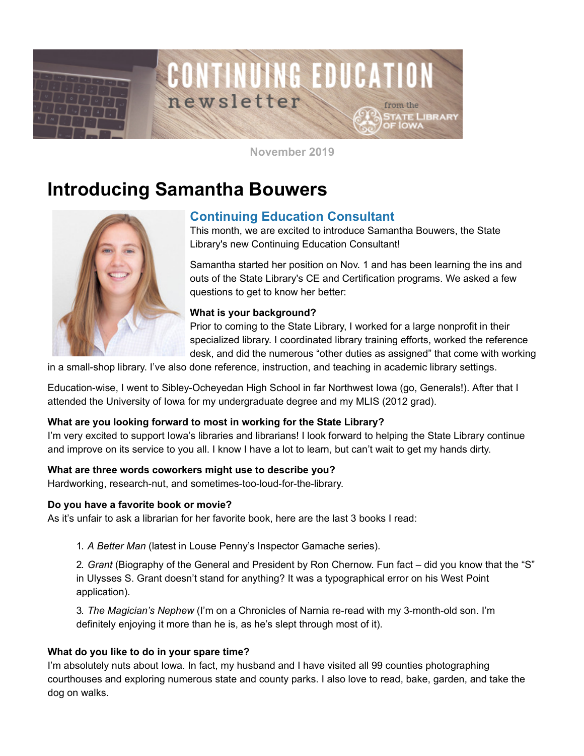

**November 2019**

# **Introducing Samantha Bouwers**



## **Continuing Education Consultant**

This month, we are excited to introduce Samantha Bouwers, the State Library's new Continuing Education Consultant!

Samantha started her position on Nov. 1 and has been learning the ins and outs of the State Library's CE and Certification programs. We asked a few questions to get to know her better:

### **What is your background?**

Prior to coming to the State Library, I worked for a large nonprofit in their specialized library. I coordinated library training efforts, worked the reference desk, and did the numerous "other duties as assigned" that come with working

in a small-shop library. I've also done reference, instruction, and teaching in academic library settings.

Education-wise, I went to Sibley-Ocheyedan High School in far Northwest Iowa (go, Generals!). After that I attended the University of Iowa for my undergraduate degree and my MLIS (2012 grad).

### **What are you looking forward to most in working for the State Library?**

I'm very excited to support Iowa's libraries and librarians! I look forward to helping the State Library continue and improve on its service to you all. I know I have a lot to learn, but can't wait to get my hands dirty.

### **What are three words coworkers might use to describe you?**

Hardworking, research-nut, and sometimes-too-loud-for-the-library.

### **Do you have a favorite book or movie?**

As it's unfair to ask a librarian for her favorite book, here are the last 3 books I read:

1. *A Better Man* (latest in Louse Penny's Inspector Gamache series).

2. *Grant* (Biography of the General and President by Ron Chernow. Fun fact – did you know that the "S" in Ulysses S. Grant doesn't stand for anything? It was a typographical error on his West Point application).

3. *The Magician's Nephew* (I'm on a Chronicles of Narnia re-read with my 3-month-old son. I'm definitely enjoying it more than he is, as he's slept through most of it).

### **What do you like to do in your spare time?**

I'm absolutely nuts about Iowa. In fact, my husband and I have visited all 99 counties photographing courthouses and exploring numerous state and county parks. I also love to read, bake, garden, and take the dog on walks.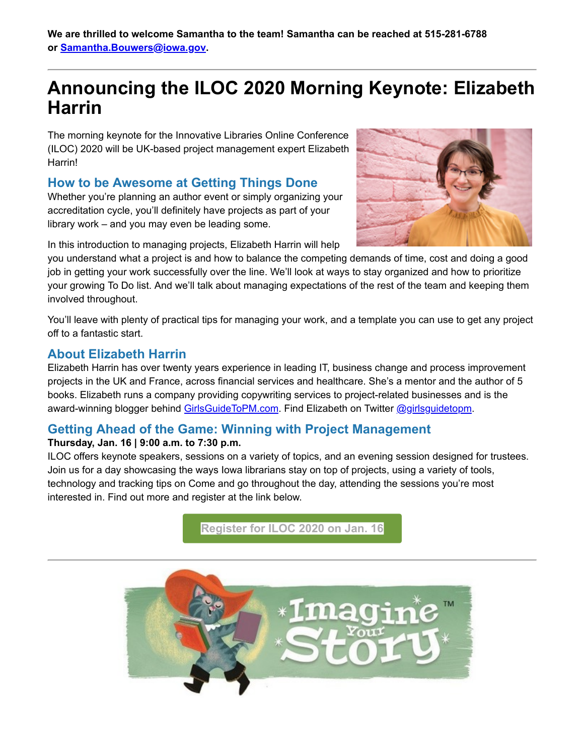**We are thrilled to welcome Samantha to the team! Samantha can be reached at 515-281-6788 or [Samantha.Bouwers@iowa.gov](mailto:Samantha.Bouwers@iowa.gov).**

## **Announcing the ILOC 2020 Morning Keynote: Elizabeth Harrin**

The morning keynote for the Innovative Libraries Online Conference (ILOC) 2020 will be UK-based project management expert Elizabeth Harrin!

### **How to be Awesome at Getting Things Done**

Whether you're planning an author event or simply organizing your accreditation cycle, you'll definitely have projects as part of your library work – and you may even be leading some.



In this introduction to managing projects, Elizabeth Harrin will help

you understand what a project is and how to balance the competing demands of time, cost and doing a good job in getting your work successfully over the line. We'll look at ways to stay organized and how to prioritize your growing To Do list. And we'll talk about managing expectations of the rest of the team and keeping them involved throughout.

You'll leave with plenty of practical tips for managing your work, and a template you can use to get any project off to a fantastic start.

### **About Elizabeth Harrin**

Elizabeth Harrin has over twenty years experience in leading IT, business change and process improvement projects in the UK and France, across financial services and healthcare. She's a mentor and the author of 5 books. Elizabeth runs a company providing copywriting services to project-related businesses and is the award-winning blogger behind [GirlsGuideToPM.com](https://www.girlsguidetopm.com/?utm_medium=email&utm_source=govdelivery). Find Elizabeth on Twitter [@girlsguidetopm.](https://twitter.com/girlsguidetopm?utm_medium=email&utm_source=govdelivery)

### **Getting Ahead of the Game: Winning with Project Management**

### **Thursday, Jan. 16 | 9:00 a.m. to 7:30 p.m.**

ILOC offers keynote speakers, sessions on a variety of topics, and an evening session designed for trustees. Join us for a day showcasing the ways Iowa librarians stay on top of projects, using a variety of tools, technology and tracking tips on Come and go throughout the day, attending the sessions you're most interested in. Find out more and register at the link below.

**[Register for ILOC 2020 on Jan. 16](https://statelibraryofiowa.lmscheckout.com/Course/view/iloc-2020-getting-ahead-of-the-game-winning-with-project-management-webinar-1?utm_medium=email&utm_source=govdelivery)**

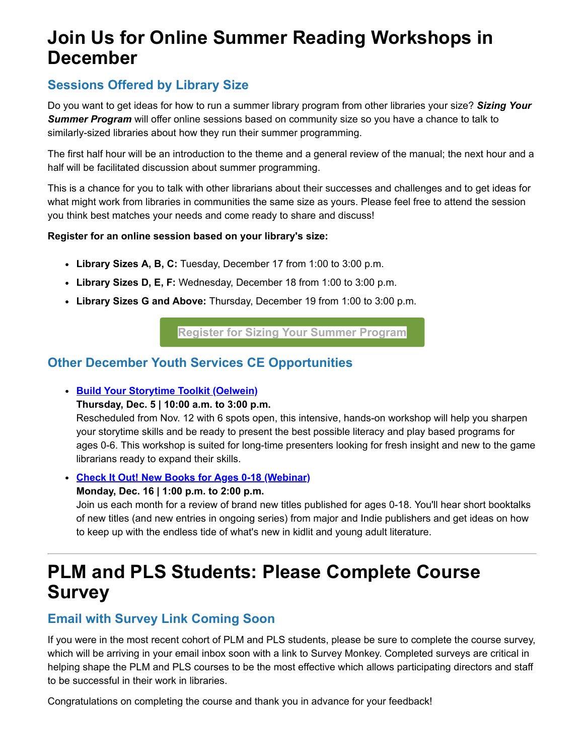## **Join Us for Online Summer Reading Workshops in December**

## **Sessions Offered by Library Size**

Do you want to get ideas for how to run a summer library program from other libraries your size? *Sizing Your Summer Program* will offer online sessions based on community size so you have a chance to talk to similarly-sized libraries about how they run their summer programming.

The first half hour will be an introduction to the theme and a general review of the manual; the next hour and a half will be facilitated discussion about summer programming.

This is a chance for you to talk with other librarians about their successes and challenges and to get ideas for what might work from libraries in communities the same size as yours. Please feel free to attend the session you think best matches your needs and come ready to share and discuss!

### **Register for an online session based on your library's size:**

- **Library Sizes A, B, C:** Tuesday, December 17 from 1:00 to 3:00 p.m.
- **Library Sizes D, E, F:** Wednesday, December 18 from 1:00 to 3:00 p.m.
- **Library Sizes G and Above:** Thursday, December 19 from 1:00 to 3:00 p.m.

**[Register for Sizing Your Summer Program](https://statelibraryofiowa.lmscheckout.com/Course/index?tags=Programming%7Csummer+reading+program&utm_medium=email&utm_source=govdelivery)**

## **Other December Youth Services CE Opportunities**

**[Build Your Storytime Toolkit \(Oelwein\)](https://statelibraryofiowa.lmscheckout.com/Course/view/build-your-storytime-toolkit-oelwein-2?utm_medium=email&utm_source=govdelivery)** 

**Thursday, Dec. 5 | 10:00 a.m. to 3:00 p.m.**

Rescheduled from Nov. 12 with 6 spots open, this intensive, hands-on workshop will help you sharpen your storytime skills and be ready to present the best possible literacy and play based programs for ages 0-6. This workshop is suited for long-time presenters looking for fresh insight and new to the game librarians ready to expand their skills.

**[Check It Out! New Books for Ages 0-18 \(Webinar\)](https://statelibraryofiowa.lmscheckout.com/Course/view/check-it-out-new-books-for-ages-0-18-webinar-7?utm_medium=email&utm_source=govdelivery)**

**Monday, Dec. 16 | 1:00 p.m. to 2:00 p.m.**

Join us each month for a review of brand new titles published for ages 0-18. You'll hear short booktalks of new titles (and new entries in ongoing series) from major and Indie publishers and get ideas on how to keep up with the endless tide of what's new in kidlit and young adult literature.

## **PLM and PLS Students: Please Complete Course Survey**

## **Email with Survey Link Coming Soon**

If you were in the most recent cohort of PLM and PLS students, please be sure to complete the course survey, which will be arriving in your email inbox soon with a link to Survey Monkey. Completed surveys are critical in helping shape the PLM and PLS courses to be the most effective which allows participating directors and staff to be successful in their work in libraries.

Congratulations on completing the course and thank you in advance for your feedback!